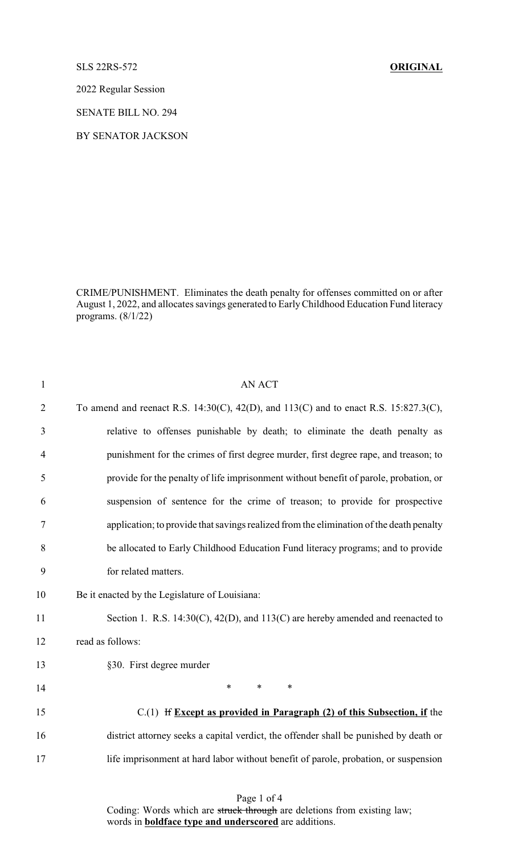SLS 22RS-572 **ORIGINAL**

2022 Regular Session

SENATE BILL NO. 294

BY SENATOR JACKSON

CRIME/PUNISHMENT. Eliminates the death penalty for offenses committed on or after August 1, 2022, and allocates savings generated to EarlyChildhood Education Fund literacy programs. (8/1/22)

| 1              | <b>AN ACT</b>                                                                           |
|----------------|-----------------------------------------------------------------------------------------|
| $\overline{2}$ | To amend and reenact R.S. 14:30(C), 42(D), and 113(C) and to enact R.S. 15:827.3(C),    |
| 3              | relative to offenses punishable by death; to eliminate the death penalty as             |
| $\overline{4}$ | punishment for the crimes of first degree murder, first degree rape, and treason; to    |
| 5              | provide for the penalty of life imprisonment without benefit of parole, probation, or   |
| 6              | suspension of sentence for the crime of treason; to provide for prospective             |
| 7              | application; to provide that savings realized from the elimination of the death penalty |
| $8\,$          | be allocated to Early Childhood Education Fund literacy programs; and to provide        |
| 9              | for related matters.                                                                    |
| 10             | Be it enacted by the Legislature of Louisiana:                                          |
| 11             | Section 1. R.S. $14:30(C)$ , $42(D)$ , and $113(C)$ are hereby amended and reenacted to |
| 12             | read as follows:                                                                        |
| 13             | §30. First degree murder                                                                |
| 14             | $\ast$<br>$\ast$<br>$\ast$                                                              |
| 15             | $C(1)$ If Except as provided in Paragraph (2) of this Subsection, if the                |
| 16             | district attorney seeks a capital verdict, the offender shall be punished by death or   |
| 17             | life imprisonment at hard labor without benefit of parole, probation, or suspension     |
|                |                                                                                         |

Page 1 of 4 Coding: Words which are struck through are deletions from existing law; words in **boldface type and underscored** are additions.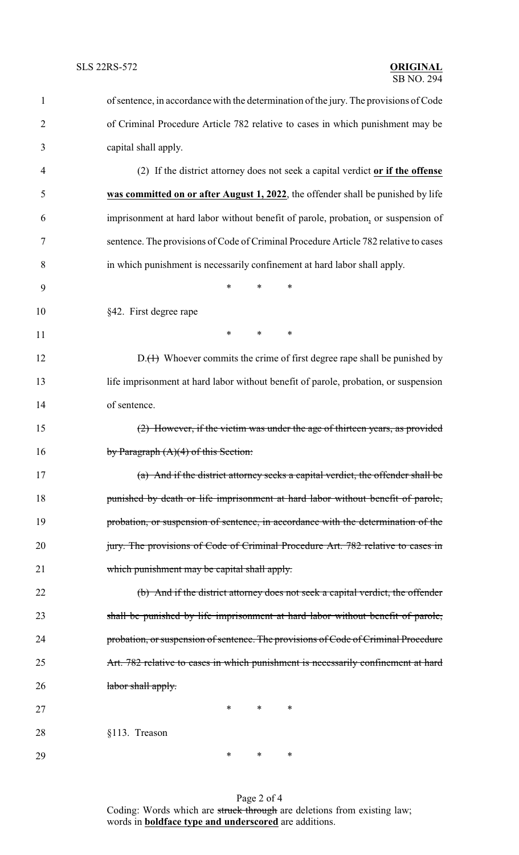| $\mathbf{1}$   | of sentence, in accordance with the determination of the jury. The provisions of Code |
|----------------|---------------------------------------------------------------------------------------|
| $\overline{2}$ | of Criminal Procedure Article 782 relative to cases in which punishment may be        |
| 3              | capital shall apply.                                                                  |
| 4              | (2) If the district attorney does not seek a capital verdict or if the offense        |
| 5              | was committed on or after August 1, 2022, the offender shall be punished by life      |
| 6              | imprisonment at hard labor without benefit of parole, probation, or suspension of     |
| 7              | sentence. The provisions of Code of Criminal Procedure Article 782 relative to cases  |
| 8              | in which punishment is necessarily confinement at hard labor shall apply.             |
| 9              | *<br>*<br>∗                                                                           |
| 10             | §42. First degree rape                                                                |
| 11             | $\ast$<br>$\ast$<br>$\ast$                                                            |
| 12             | $D_{\cdot}(+)$ Whoever commits the crime of first degree rape shall be punished by    |
| 13             | life imprisonment at hard labor without benefit of parole, probation, or suspension   |
| 14             | of sentence.                                                                          |
| 15             | $(2)$ However, if the victim was under the age of thirteen years, as provided         |
| 16             | by Paragraph $(A)(4)$ of this Section:                                                |
| 17             | (a) And if the district attorney seeks a capital verdict, the offender shall be       |
| 18             | punished by death or life imprisonment at hard labor without benefit of parole,       |
| 19             | probation, or suspension of sentence, in accordance with the determination of the     |
| 20             | jury. The provisions of Code of Criminal Procedure Art. 782 relative to cases in      |
| 21             | which punishment may be capital shall apply.                                          |
| 22             | (b) And if the district attorney does not seek a capital verdict, the offender        |
| 23             | shall be punished by life imprisonment at hard labor without benefit of parole,       |
| 24             | probation, or suspension of sentence. The provisions of Code of Criminal Procedure    |
| 25             | Art. 782 relative to cases in which punishment is necessarily confinement at hard     |
| 26             | labor shall apply.                                                                    |
| 27             | $*$<br>$\ast$<br>$\ast$                                                               |
| 28             | §113. Treason                                                                         |
| 29             | $\ast$<br>∗<br>∗                                                                      |

Page 2 of 4 Coding: Words which are struck through are deletions from existing law; words in **boldface type and underscored** are additions.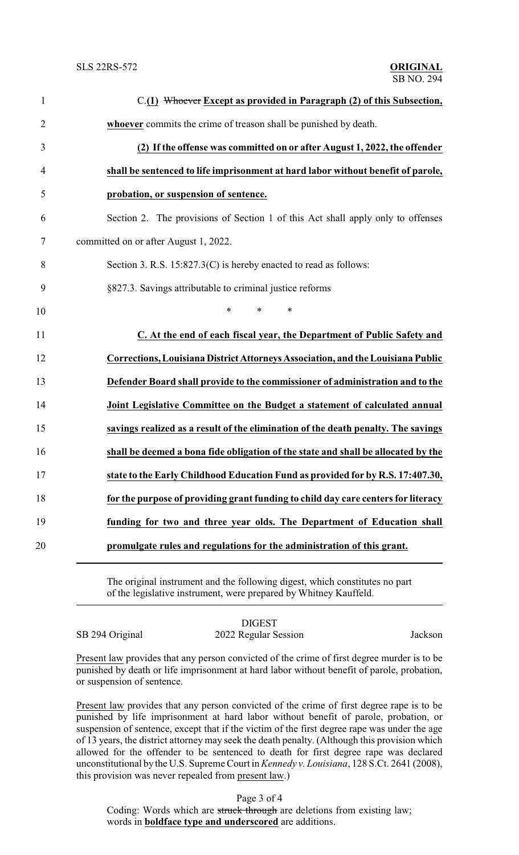| $\mathbf{1}$   | C.(1) Whoever Except as provided in Paragraph (2) of this Subsection,             |
|----------------|-----------------------------------------------------------------------------------|
| $\overline{2}$ | whoever commits the crime of treason shall be punished by death.                  |
| 3              | (2) If the offense was committed on or after August 1, 2022, the offender         |
| 4              | shall be sentenced to life imprisonment at hard labor without benefit of parole,  |
| 5              | probation, or suspension of sentence.                                             |
| 6              | Section 2. The provisions of Section 1 of this Act shall apply only to offenses   |
| 7              | committed on or after August 1, 2022.                                             |
| 8              | Section 3. R.S. 15:827.3(C) is hereby enacted to read as follows:                 |
| 9              | §827.3. Savings attributable to criminal justice reforms                          |
| 10             | $\ast$<br>$\ast$<br>*                                                             |
| 11             | C. At the end of each fiscal year, the Department of Public Safety and            |
| 12             | Corrections, Louisiana District Attorneys Association, and the Louisiana Public   |
| 13             | Defender Board shall provide to the commissioner of administration and to the     |
| 14             | Joint Legislative Committee on the Budget a statement of calculated annual        |
| 15             | savings realized as a result of the elimination of the death penalty. The savings |
| 16             | shall be deemed a bona fide obligation of the state and shall be allocated by the |
| 17             | state to the Early Childhood Education Fund as provided for by R.S. 17:407.30,    |
| 18             | for the purpose of providing grant funding to child day care centers for literacy |
| 19             | funding for two and three year olds. The Department of Education shall            |
| 20             | promulgate rules and regulations for the administration of this grant.            |
|                |                                                                                   |

The original instrument and the following digest, which constitutes no part of the legislative instrument, were prepared by Whitney Kauffeld.

DIGEST SB 294 Original 2022 Regular Session Jackson

Present law provides that any person convicted of the crime of first degree murder is to be punished by death or life imprisonment at hard labor without benefit of parole, probation, or suspension of sentence.

Present law provides that any person convicted of the crime of first degree rape is to be punished by life imprisonment at hard labor without benefit of parole, probation, or suspension of sentence, except that if the victim of the first degree rape was under the age of 13 years, the district attorney may seek the death penalty. (Although this provision which allowed for the offender to be sentenced to death for first degree rape was declared unconstitutional bythe U.S. Supreme Court in *Kennedy v. Louisiana*, 128 S.Ct. 2641 (2008), this provision was never repealed from present law.)

Page 3 of 4

Coding: Words which are struck through are deletions from existing law; words in **boldface type and underscored** are additions.